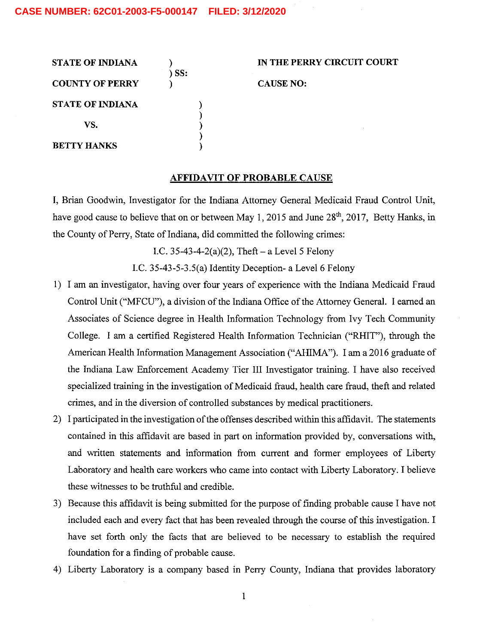| <b>STATE OF INDIANA</b> | SS: | IN THE PERRY CIRCUIT COURT |
|-------------------------|-----|----------------------------|
| <b>COUNTY OF PERRY</b>  |     | <b>CAUSE NO:</b>           |
| <b>STATE OF INDIANA</b> |     |                            |
| VS.                     |     | ٠.                         |
| <b>BETTY HANKS</b>      |     |                            |

## AFFIDAVIT OF PROBABLE CAUSE

I, Brian Goodwin, Investigator for the Indiana Attorney General Medicaid Fraud Control Unit, have good cause to believe that on or between May 1, 2015 and June 28<sup>th</sup>, 2017, Betty Hanks, in the County of Perry, State of Indiana, did committed the following crimes:

I.C. 35-43-4-2(a)(2), Theft  $-$  a Level 5 Felony

I.C. 35-43-5-3.5(a) Identity Deception- a Level  $6$  Felony

- 1) I am an investigator, having over four years of experience with the Indiana Medicaid Fraud Control Unit ("MFCU"), a division of the Indiana Office of the Attorney General. I earned an Associates of Science degree in Health Information Technology from Ivy Tech Community College. I am a certified Registered Health Information Technician ("RHIT"), through the American Health Information Management Association ("AHIMA"). I am a 2016 graduate of the Indiana Law Enforcement Academy Tier III Investigator training. have also received specialized training in the investigation of Medicaid fraud, heaith care fraud, theft and related crimes, and in the diversion of controlled substances by medical practitioners.
- 2) 1 participated in the investigation of the offenses described within this affidavit. The statements contained in this affidavit are based in part 0n information provided by, conversations with, and written statements and information from current and former employees of Liberty Laboratory and health care workers who came into contact with Liberty Laboratory. I believe these witnesses to be truthful and credible.
- 3) Because this affidavit is being submitted for the purpose of finding probable cause I have not included each and every fact that has been reveaied through the course of this investigation. have set forth only the facts that are believed to be necessary to establish the required foundation for a finding of probable cause.
- 4) Liberty Laboratory is company based in Perry County, Indiana that provides laboratory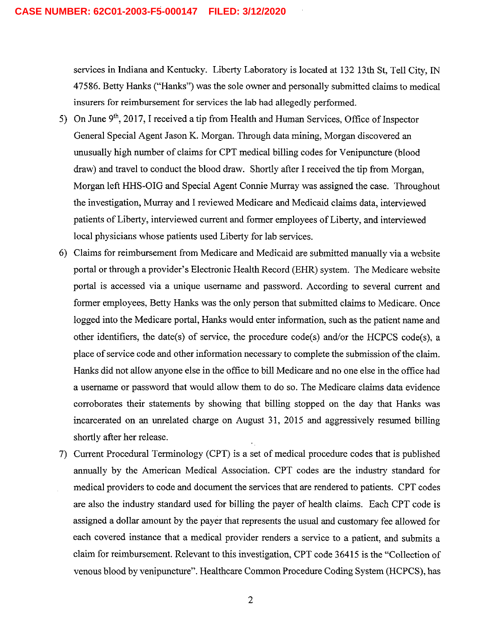services in Indiana and Kentucky. Liberty Laboratory is located at 132 13th St, Tell City, IN 47586. Betty Hanks ("Hanks") was the sole owner and personally submitted claims to medical insurers for reimbursement for services the lab had allegedly performed.

- 5) On June 9<sup>th</sup>, 2017, I received a tip from Health and Human Services, Office of Inspector General Special Agent Jason K. Morgan. Through data mining, Morgan discovered an unusually high number of claims for CPT medical billing codes for Venipuncture (blood draw) and travel to conduct the blood draw. Shortly after I received the tip from Morgan, Morgan left HHS-OIG and Special Agent Comic Murray was assigned the case. Throughout the investigation, Murray and I reviewed Medicare and Medicaid claims data, interviewed patients of Liberty, interviewed current and former employees of Liberty, and interviewed local physicians whose patients used Liberty for lab services.
- 6) Claims for reimbursement from Medicare and Medicaid are submitted manually via a website portal or through a provider's Electronic Health Record (EHR) system. The Medicare website portal is accessed via a unique username and password. According to several current and former employees, Betty Hanks was the only person that submitted claims to Medicare. Once logged into the Medicare portal, Hanks would enter information, such as the patient name and other identifiers, the date(s) of service, the procedure code(s) and/or the HCPCS code(s), a place of service code and other information necessary to complete the submission of the claim. Hanks did not allow anyone else in the office to bill Medicare and no one else in the office had username or password that would allow them to do so. The Medicare claims data evidence corroborates their statements by showing that billing stopped on the day that Hanks was incarcerated on an unrelated charge on August 31, 2015 and aggressively resumed billing shortly after her release.
- 7) Current Procedural Terminology (CPT) is a set of medical procedure codes that is published annually by the American Medical Association. CPT codes are the industry standard for medical providers to code and document the services that are rendered to patients. CPT codes are also the industry standard used for billing the payer of health claims. Each CPT code is assigned a dollar amount by the payer that represents the usual and customary fee allowed for each covered instance that a medical provider renders a service to a patient, and submits a claim for reimbursement. Relevant to this investigation, CPT code 36415 is the "Collection of venous blood by venipuncture". Healthcare Common Procedure Coding System (HCPCS), has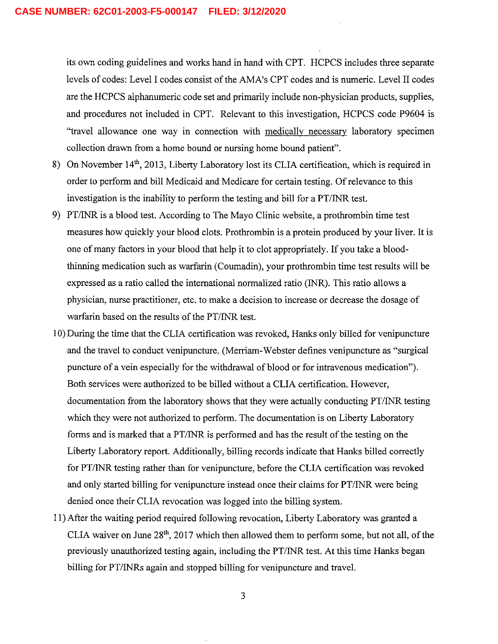its own coding guidelines and works hand in hand with CPT. HCPCS includes three separate levels of codes: Level I codes consist of the AMA's CPT codes and is numeric. Level II codes are the HCPCS aiphanumeric code set and primarily include non-physician products, supplies, and procedures not included in CPT. Relevant to this investigation, HCPCS code P9604 is "travel allowance one way in connection with medically necessary laboratory specimen collection drawn from a home bound or nursing home bound patient".

- 8) On November 14<sup>th</sup>, 2013, Liberty Laboratory lost its CLIA certification, which is required in order to perform and bill Medicaid and Medicare for certain testing. Of relevance to this investigation is the inability to perform the testing and bill for a  $PT/INR$  test.
- 9) PT/INR is a blood test. According to The Mayo Clinic website, a prothrombin time test measures how quickly your blood clots. Prothrombin is a protein produced by your liver. It is one of many factors in your blood that help it to clot appropriately. If you take a bloodthinning medication such as warfarin (Coumadin), your prothrombin time test results will be expressed as a ratio called the international normalized ratio (INR). This ratio allows a physician, nurse practitioner, etc. to make a decision to increase or decrease the dosage of warfarin based on the results of the PT/INR test.
- 10) During the time that the CLIA certification was revoked, Hanks only billed for venipuncture and the travel to conduct venipuncture. (Mem'am—Webster defines venipuncture as "surgical puncture of a vein especially for the withdrawal of blood or for intravenous medication"). Both services were authorized to be billed without a CLIA certification. However, documentation from the laboratory shows that they were actually conducting PT/INR testing which they were not authorized to perform. The documentation is on Liberty Laboratory forms and is marked that a PT/INR is performed and has the result of the testing on the Liberty Laboratory report. Additionally, billing records indicate that Hanks billed correctly for PT/INR testing rather than for venipuncture, before the CLIA certification was revoked and only started billing for venipuncture instead once their claims for PT/INR were being denied once their CLIA revocation was logged into the billing system.
- 11) After the waiting period required following revocation, Liberty Laboratory was granted CLIA waiver on June  $28<sup>th</sup>$ , 2017 which then allowed them to perform some, but not all, of the previously unauthorized testing again, including the PT/INR test. At this time Hanks began billing for PT/INRs again and stopped billing for venipuncture and travel.

 $\overline{\mathbf{3}}$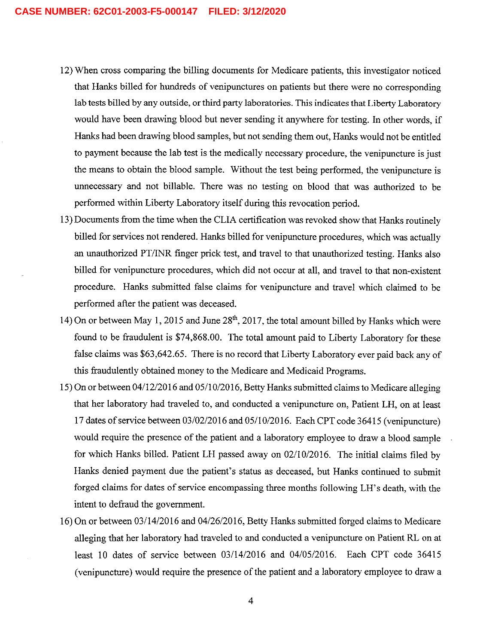- 12) When cross comparing the billing documents for Medicare patients, this investigator noticed that Hanks billed for hundreds of venipunctures on patients but there were no corresponding lab tests billed by any outside, or third party laboratories. This indicates that Liberty Laboratory would have been drawing blood but never sending it anywhere for testing. In other words, if Hanks had been drawing blood samples, but not sending them out, Hanks would not be entitled to payment because the lab test is the medically necessary procedure, the venipuncture is just the means to obtain the blood sample. Without the test being performed, the venipuncture is unnecessary and not billable. There was no testing on blood that was authorized to be performed within Liberty Laboratory itself during this revocation period.
- 13) Documents from the time when the CLIA certification was revoked show that Hanks routinely billed for services not rendered. Hanks billed for venipuncture procedures, which was actually an unauthorized PT/INR finger prick test, and travel to that unauthorized testing. Hanks also billed for venipuncture procedures, which did not occur at all, and travel to that non-existent procedure. Hanks submitted false claims for venipuncture and travel which claimed to be performed after the patient was deceased.
- 14) On or between May 1, 2015 and June  $28<sup>th</sup>$ , 2017, the total amount billed by Hanks which were found to be fraudulent is \$74,868.00. The total amount paid to Liberty Laboratory for these false claims was \$63,642.65. There is no record that Liberty Laboratory ever paid back any of this fraudulently obtained money to the Medicare and Medicaid Programs.
- 15) On or between 04/12/2016 and 05/10/2016, Betty Hanks submitted claims to Medicare alleging that her laboratory had traveled to, and conducted a venipuncture on, Patient LH, on at least 17 dates of service between 03/02/2016 and 05/10/2016. Each CPT code 3641 (venipuncture) would require the presence of the patient and a laboratory employee to draw a blood sample for which Hanks billed. Patient LH passed away on 02/10/2016. The initial claims filed by Hanks denied payment due the patient's status as deceased, but Hanks continued to submit forged claims for dates of service encompassing three months following LH's death, with the intent to defraud the government.
- 16) 0n or between 03/14/2016 and 04/26/2016, Betty Hanks submitted forged claims to Medicare alleging that her laboratory had traveled to and conducted a venipuncture on Patient RL on at least 10 dates of service between 03/14/2016 and 04/05/2016. Each CPT code 36415 (venipuncture) would require the presence of the patient and a laboratory employee to draw a